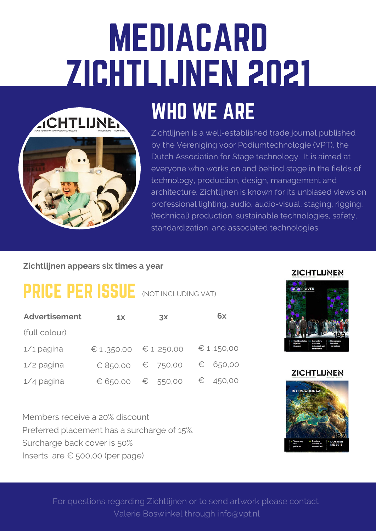# MEDIACARD ZICHTLIJNEN 2021





Zichtlijnen is a well-established trade journal published by the Vereniging voor Podiumtechnologie (VPT), the Dutch Association for Stage technology. It is aimed at everyone who works on and behind stage in the fields of technology, production, design, management and architecture. Zichtlijnen is known for its unbiased views on professional lighting, audio, audio-visual, staging, rigging, (technical) production, sustainable technologies, safety, standardization, and associated technologies.

#### **Zichtlijnen appears six times a year**

### PRICE PER ISSUE (NOT INCLUDING VAT)

| <b>Advertisement</b> | 1x       | 3x                    | 6x         |
|----------------------|----------|-----------------------|------------|
| (full colour)        |          |                       |            |
| $1/1$ pagina         |          | € 1.350,00 € 1.250,00 | € 1.150,00 |
| $1/2$ pagina         | € 850,00 | $\epsilon$ 750,00     | € 650,00   |
| $1/4$ pagina         | € 650,00 | $\epsilon$ 550,00     | € 450,00   |

Members receive a 20% discount Preferred placement has a surcharge of 15%. Surcharge back cover is 50% Inserts are € 500,00 (per page)

#### **ZICHTLIJNEN**



#### **ZICHTLIJNEN**



For questions regarding Zichtlijnen or to send artwork please contact Valerie Boswinkel through info@vpt.nl